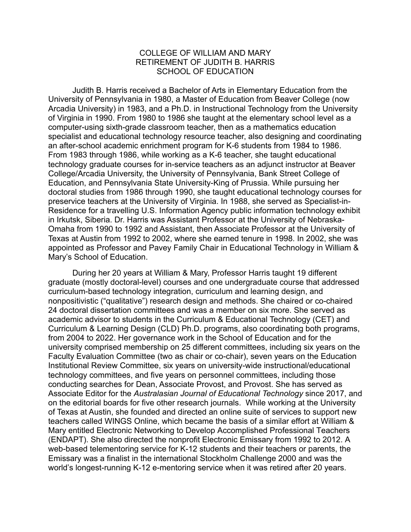## COLLEGE OF WILLIAM AND MARY RETIREMENT OF JUDITH B. HARRIS SCHOOL OF EDUCATION

Judith B. Harris received a Bachelor of Arts in Elementary Education from the University of Pennsylvania in 1980, a Master of Education from Beaver College (now Arcadia University) in 1983, and a Ph.D. in Instructional Technology from the University of Virginia in 1990. From 1980 to 1986 she taught at the elementary school level as a computer-using sixth-grade classroom teacher, then as a mathematics education specialist and educational technology resource teacher, also designing and coordinating an after-school academic enrichment program for K-6 students from 1984 to 1986. From 1983 through 1986, while working as a K-6 teacher, she taught educational technology graduate courses for in-service teachers as an adjunct instructor at Beaver College/Arcadia University, the University of Pennsylvania, Bank Street College of Education, and Pennsylvania State University-King of Prussia. While pursuing her doctoral studies from 1986 through 1990, she taught educational technology courses for preservice teachers at the University of Virginia. In 1988, she served as Specialist-in-Residence for a travelling U.S. Information Agency public information technology exhibit in Irkutsk, Siberia. Dr. Harris was Assistant Professor at the University of Nebraska-Omaha from 1990 to 1992 and Assistant, then Associate Professor at the University of Texas at Austin from 1992 to 2002, where she earned tenure in 1998. In 2002, she was appointed as Professor and Pavey Family Chair in Educational Technology in William & Mary's School of Education.

During her 20 years at William & Mary, Professor Harris taught 19 different graduate (mostly doctoral-level) courses and one undergraduate course that addressed curriculum-based technology integration, curriculum and learning design, and nonpositivistic ("qualitative") research design and methods. She chaired or co-chaired 24 doctoral dissertation committees and was a member on six more. She served as academic advisor to students in the Curriculum & Educational Technology (CET) and Curriculum & Learning Design (CLD) Ph.D. programs, also coordinating both programs, from 2004 to 2022. Her governance work in the School of Education and for the university comprised membership on 25 different committees, including six years on the Faculty Evaluation Committee (two as chair or co-chair), seven years on the Education Institutional Review Committee, six years on university-wide instructional/educational technology committees, and five years on personnel committees, including those conducting searches for Dean, Associate Provost, and Provost. She has served as Associate Editor for the *Australasian Journal of Educational Technology* since 2017, and on the editorial boards for five other research journals. While working at the University of Texas at Austin, she founded and directed an online suite of services to support new teachers called WINGS Online, which became the basis of a similar effort at William & Mary entitled Electronic Networking to Develop Accomplished Professional Teachers (ENDAPT). She also directed the nonprofit Electronic Emissary from 1992 to 2012. A web-based telementoring service for K-12 students and their teachers or parents, the Emissary was a finalist in the international Stockholm Challenge 2000 and was the world's longest-running K-12 e-mentoring service when it was retired after 20 years.